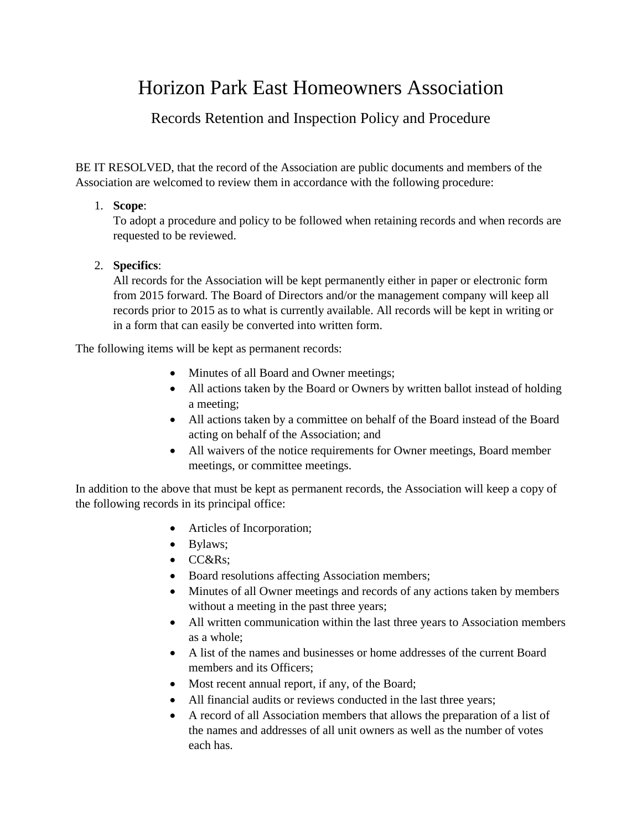# Horizon Park East Homeowners Association

## Records Retention and Inspection Policy and Procedure

BE IT RESOLVED, that the record of the Association are public documents and members of the Association are welcomed to review them in accordance with the following procedure:

### 1. **Scope**:

To adopt a procedure and policy to be followed when retaining records and when records are requested to be reviewed.

### 2. **Specifics**:

All records for the Association will be kept permanently either in paper or electronic form from 2015 forward. The Board of Directors and/or the management company will keep all records prior to 2015 as to what is currently available. All records will be kept in writing or in a form that can easily be converted into written form.

The following items will be kept as permanent records:

- Minutes of all Board and Owner meetings;
- All actions taken by the Board or Owners by written ballot instead of holding a meeting;
- All actions taken by a committee on behalf of the Board instead of the Board acting on behalf of the Association; and
- All waivers of the notice requirements for Owner meetings, Board member meetings, or committee meetings.

In addition to the above that must be kept as permanent records, the Association will keep a copy of the following records in its principal office:

- Articles of Incorporation;
- Bylaws;
- CC&Rs:
- Board resolutions affecting Association members;
- Minutes of all Owner meetings and records of any actions taken by members without a meeting in the past three years;
- All written communication within the last three years to Association members as a whole;
- A list of the names and businesses or home addresses of the current Board members and its Officers;
- Most recent annual report, if any, of the Board;
- All financial audits or reviews conducted in the last three years;
- A record of all Association members that allows the preparation of a list of the names and addresses of all unit owners as well as the number of votes each has.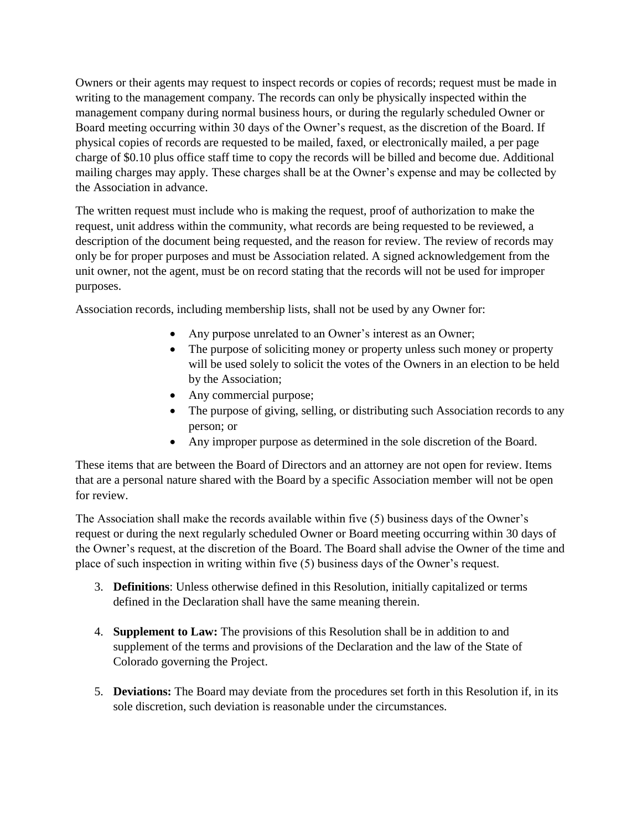Owners or their agents may request to inspect records or copies of records; request must be made in writing to the management company. The records can only be physically inspected within the management company during normal business hours, or during the regularly scheduled Owner or Board meeting occurring within 30 days of the Owner's request, as the discretion of the Board. If physical copies of records are requested to be mailed, faxed, or electronically mailed, a per page charge of \$0.10 plus office staff time to copy the records will be billed and become due. Additional mailing charges may apply. These charges shall be at the Owner's expense and may be collected by the Association in advance.

The written request must include who is making the request, proof of authorization to make the request, unit address within the community, what records are being requested to be reviewed, a description of the document being requested, and the reason for review. The review of records may only be for proper purposes and must be Association related. A signed acknowledgement from the unit owner, not the agent, must be on record stating that the records will not be used for improper purposes.

Association records, including membership lists, shall not be used by any Owner for:

- Any purpose unrelated to an Owner's interest as an Owner;
- The purpose of soliciting money or property unless such money or property will be used solely to solicit the votes of the Owners in an election to be held by the Association;
- Any commercial purpose;
- The purpose of giving, selling, or distributing such Association records to any person; or
- Any improper purpose as determined in the sole discretion of the Board.

These items that are between the Board of Directors and an attorney are not open for review. Items that are a personal nature shared with the Board by a specific Association member will not be open for review.

The Association shall make the records available within five (5) business days of the Owner's request or during the next regularly scheduled Owner or Board meeting occurring within 30 days of the Owner's request, at the discretion of the Board. The Board shall advise the Owner of the time and place of such inspection in writing within five (5) business days of the Owner's request.

- 3. **Definitions**: Unless otherwise defined in this Resolution, initially capitalized or terms defined in the Declaration shall have the same meaning therein.
- 4. **Supplement to Law:** The provisions of this Resolution shall be in addition to and supplement of the terms and provisions of the Declaration and the law of the State of Colorado governing the Project.
- 5. **Deviations:** The Board may deviate from the procedures set forth in this Resolution if, in its sole discretion, such deviation is reasonable under the circumstances.